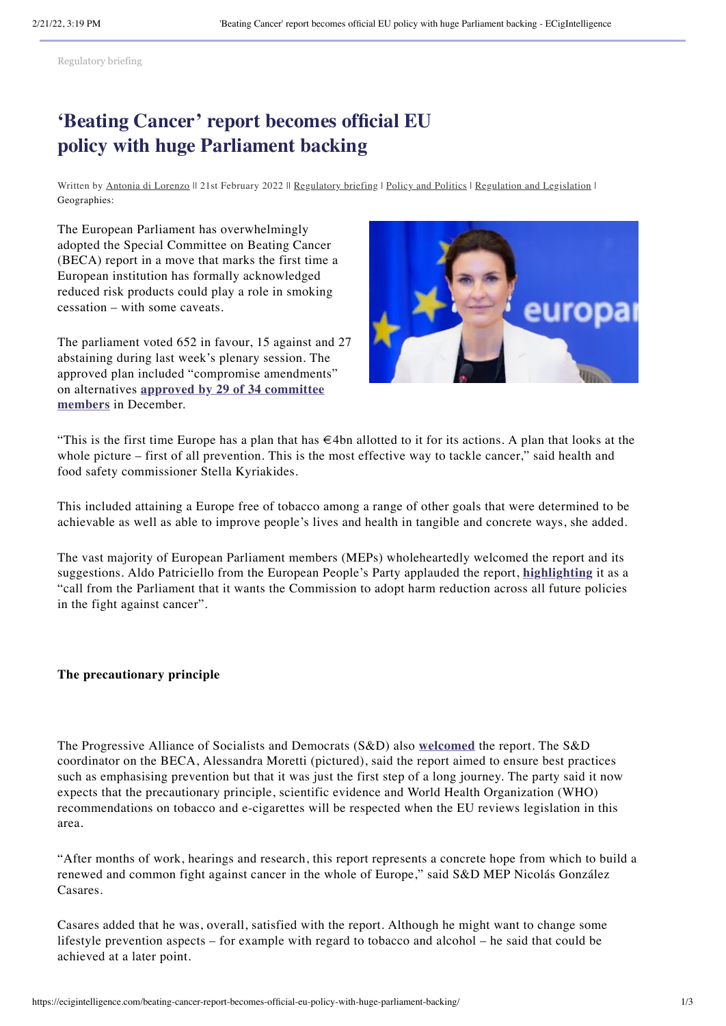[Regulatory briefing](https://ecigintelligence.com/content_types/regulatory-briefing/)

## **'Beating Cancer' report becomes official EU policy with huge Parliament backing**

Written by Antonia di [Lorenzo](https://ecigintelligence.com/author/antoniaecigintelligence-com/) || 21st February 2022 || [Regulatory](https://ecigintelligence.com/content_types/regulatory-briefing/) briefing | Policy and [Politics](https://ecigintelligence.com/topics/policy-politics/) | Regulation and [Legislation](https://ecigintelligence.com/topics/regulation-legislation/) | Geographies:

The European Parliament has overwhelmingly adopted the Special Committee on Beating Cancer (BECA) report in a move that marks the first time a European institution has formally acknowledged reduced risk products could play a role in smoking cessation – with some caveats.

The parliament voted 652 in favour, 15 against and 27 abstaining during last week's plenary session. The approved plan included "compromise amendments" on [alternatives](https://ecigintelligence.com/meps-give-green-light-to-cancer-report-amid-uncertainty-over-future-of-flavours/) **approved by 29 of 34 committee members** in December.



"This is the first time Europe has a plan that has €4bn allotted to it for its actions. A plan that looks at the whole picture – first of all prevention. This is the most effective way to tackle cancer," said health and food safety commissioner Stella Kyriakides.

This included attaining a Europe free of tobacco among a range of other goals that were determined to be achievable as well as able to improve people's lives and health in tangible and concrete ways, she added.

The vast majority of European Parliament members (MEPs) wholeheartedly welcomed the report and its suggestions. Aldo Patriciello from the European People's Party applauded the report, **[highlighting](https://twitter.com/PatricielloAldo/status/1493992066048827396)** it as a "call from the Parliament that it wants the Commission to adopt harm reduction across all future policies in the fight against cancer".

**The precautionary principle**

The Progressive Alliance of Socialists and Democrats (S&D) also **[welcomed](https://www.socialistsanddemocrats.eu/newsroom/sds-beca-report-marks-milestone-fight-beat-cancer-and-towards-future-european-health-union)** the report. The S&D coordinator on the BECA, Alessandra Moretti (pictured), said the report aimed to ensure best practices such as emphasising prevention but that it was just the first step of a long journey. The party said it now expects that the precautionary principle, scientific evidence and World Health Organization (WHO) recommendations on tobacco and e-cigarettes will be respected when the EU reviews legislation in this area.

"After months of work, hearings and research, this report represents a concrete hope from which to build a renewed and common fight against cancer in the whole of Europe," said S&D MEP Nicolás González Casares.

Casares added that he was, overall, satisfied with the report. Although he might want to change some lifestyle prevention aspects – for example with regard to tobacco and alcohol – he said that could be achieved at a later point.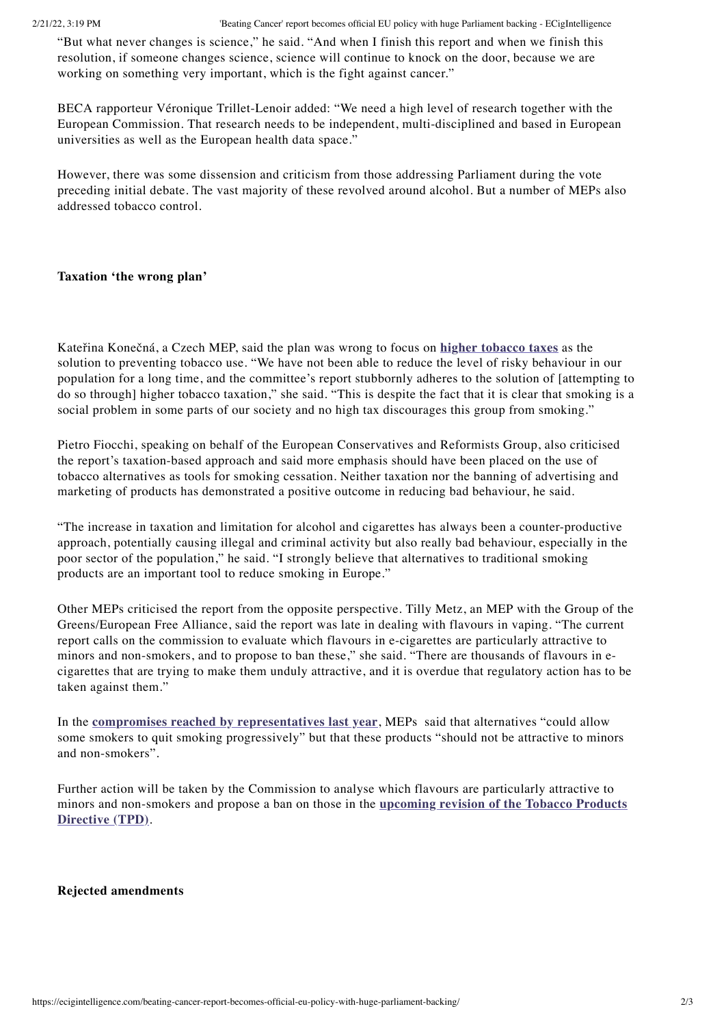"But what never changes is science," he said. "And when I finish this report and when we finish this resolution, if someone changes science, science will continue to knock on the door, because we are working on something very important, which is the fight against cancer."

BECA rapporteur Véronique Trillet-Lenoir added: "We need a high level of research together with the European Commission. That research needs to be independent, multi-disciplined and based in European universities as well as the European health data space."

However, there was some dissension and criticism from those addressing Parliament during the vote preceding initial debate. The vast majority of these revolved around alcohol. But a number of MEPs also addressed tobacco control.

## **Taxation 'the wrong plan'**

Kateřina Konečná, a Czech MEP, said the plan was wrong to focus on **higher [tobacco](https://ecigintelligence.com/do-sin-taxes-work-or-do-they-just-encourage-people-to-be-more-sinful/) taxes** as the solution to preventing tobacco use. "We have not been able to reduce the level of risky behaviour in our population for a long time, and the committee's report stubbornly adheres to the solution of [attempting to do so through] higher tobacco taxation," she said. "This is despite the fact that it is clear that smoking is a social problem in some parts of our society and no high tax discourages this group from smoking."

Pietro Fiocchi, speaking on behalf of the European Conservatives and Reformists Group, also criticised the report's taxation-based approach and said more emphasis should have been placed on the use of tobacco alternatives as tools for smoking cessation. Neither taxation nor the banning of advertising and marketing of products has demonstrated a positive outcome in reducing bad behaviour, he said.

"The increase in taxation and limitation for alcohol and cigarettes has always been a counter-productive approach, potentially causing illegal and criminal activity but also really bad behaviour, especially in the poor sector of the population," he said. "I strongly believe that alternatives to traditional smoking products are an important tool to reduce smoking in Europe."

Other MEPs criticised the report from the opposite perspective. Tilly Metz, an MEP with the Group of the Greens/European Free Alliance, said the report was late in dealing with flavours in vaping. "The current report calls on the commission to evaluate which flavours in e-cigarettes are particularly attractive to minors and non-smokers, and to propose to ban these," she said. "There are thousands of flavours in ecigarettes that are trying to make them unduly attractive, and it is overdue that regulatory action has to be taken against them."

In the **compromises reached by [representatives](https://ecigintelligence.com/eu-meps-to-soften-demands-on-blanket-flavour-ban-to-just-those-targeting-minors/) last year**, MEPs said that alternatives "could allow some smokers to quit smoking progressively" but that these products "should not be attractive to minors and non-smokers".

Further action will be taken by the Commission to analyse which flavours are particularly attractive to minors and [non-smokers](https://ecigintelligence.com/eu-tpd-implementation-report-the-countdown-has-started/) and propose a ban on those in the **upcoming revision of the Tobacco Products Directive (TPD)**.

## **Rejected amendments**